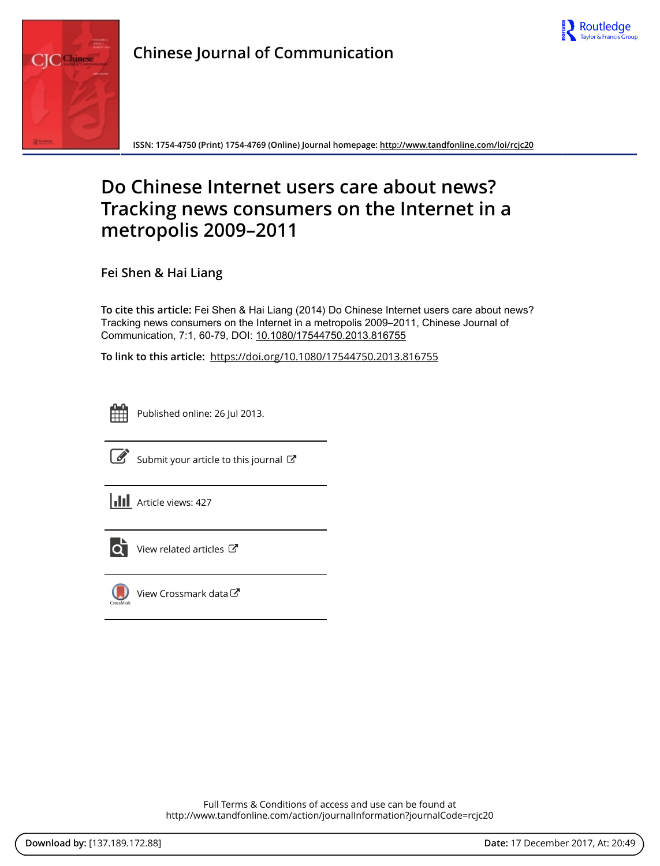



**Chinese Journal of Communication**

**ISSN: 1754-4750 (Print) 1754-4769 (Online) Journal homepage:<http://www.tandfonline.com/loi/rcjc20>**

# **Do Chinese Internet users care about news? Tracking news consumers on the Internet in a metropolis 2009–2011**

**Fei Shen & Hai Liang**

**To cite this article:** Fei Shen & Hai Liang (2014) Do Chinese Internet users care about news? Tracking news consumers on the Internet in a metropolis 2009–2011, Chinese Journal of Communication, 7:1, 60-79, DOI: [10.1080/17544750.2013.816755](http://www.tandfonline.com/action/showCitFormats?doi=10.1080/17544750.2013.816755)

**To link to this article:** <https://doi.org/10.1080/17544750.2013.816755>



Published online: 26 Jul 2013.



 $\overrightarrow{S}$  [Submit your article to this journal](http://www.tandfonline.com/action/authorSubmission?journalCode=rcjc20&show=instructions)  $\overrightarrow{S}$ 





 $\overline{Q}$  [View related articles](http://www.tandfonline.com/doi/mlt/10.1080/17544750.2013.816755)  $\overline{C}$ 



[View Crossmark data](http://crossmark.crossref.org/dialog/?doi=10.1080/17544750.2013.816755&domain=pdf&date_stamp=2013-07-26) $G$ 

Full Terms & Conditions of access and use can be found at <http://www.tandfonline.com/action/journalInformation?journalCode=rcjc20>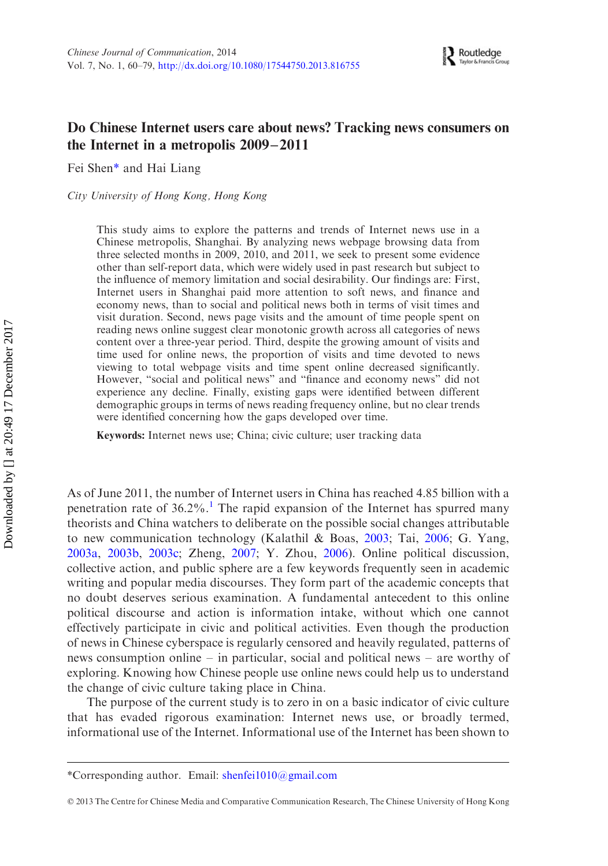# Do Chinese Internet users care about news? Tracking news consumers on the Internet in a metropolis 2009 – 2011

Fei Shen[\\*](#page-1-0) and Hai Liang

City University of Hong Kong, Hong Kong

This study aims to explore the patterns and trends of Internet news use in a Chinese metropolis, Shanghai. By analyzing news webpage browsing data from three selected months in 2009, 2010, and 2011, we seek to present some evidence other than self-report data, which were widely used in past research but subject to the influence of memory limitation and social desirability. Our findings are: First, Internet users in Shanghai paid more attention to soft news, and finance and economy news, than to social and political news both in terms of visit times and visit duration. Second, news page visits and the amount of time people spent on reading news online suggest clear monotonic growth across all categories of news content over a three-year period. Third, despite the growing amount of visits and time used for online news, the proportion of visits and time devoted to news viewing to total webpage visits and time spent online decreased significantly. However, "social and political news" and "finance and economy news" did not experience any decline. Finally, existing gaps were identified between different demographic groups in terms of news reading frequency online, but no clear trends were identified concerning how the gaps developed over time.

Keywords: Internet news use; China; civic culture; user tracking data

As of June 2011, the number of Internet users in China has reached 4.85 billion with a penetration rate of  $36.2\%$ .<sup>[1](#page-16-0)</sup> The rapid expansion of the Internet has spurred many theorists and China watchers to deliberate on the possible social changes attributable to new communication technology (Kalathil & Boas, [2003](#page-18-0); Tai, [2006](#page-19-0); G. Yang, [2003a](#page-19-1), [2003b,](#page-19-2) [2003c;](#page-19-3) Zheng, [2007;](#page-20-0) Y. Zhou, [2006](#page-20-1)). Online political discussion, collective action, and public sphere are a few keywords frequently seen in academic writing and popular media discourses. They form part of the academic concepts that no doubt deserves serious examination. A fundamental antecedent to this online political discourse and action is information intake, without which one cannot effectively participate in civic and political activities. Even though the production of news in Chinese cyberspace is regularly censored and heavily regulated, patterns of news consumption online – in particular, social and political news – are worthy of exploring. Knowing how Chinese people use online news could help us to understand the change of civic culture taking place in China.

The purpose of the current study is to zero in on a basic indicator of civic culture that has evaded rigorous examination: Internet news use, or broadly termed, informational use of the Internet. Informational use of the Internet has been shown to

<span id="page-1-0"></span><sup>\*</sup>Corresponding author. Email: [shenfei1010@gmail.com](mailto:shenfei1010@gmail.com)

*q* 2013 The Centre for Chinese Media and Comparative Communication Research, The Chinese University of Hong Kong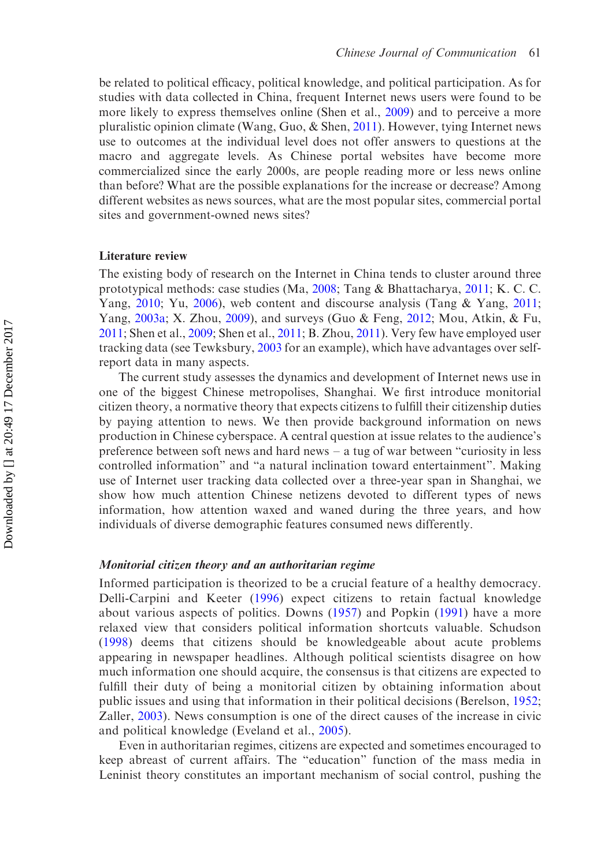be related to political efficacy, political knowledge, and political participation. As for studies with data collected in China, frequent Internet news users were found to be more likely to express themselves online (Shen et al., [2009](#page-19-4)) and to perceive a more pluralistic opinion climate (Wang, Guo, & Shen, [2011](#page-19-5)). However, tying Internet news use to outcomes at the individual level does not offer answers to questions at the macro and aggregate levels. As Chinese portal websites have become more commercialized since the early 2000s, are people reading more or less news online than before? What are the possible explanations for the increase or decrease? Among different websites as news sources, what are the most popular sites, commercial portal sites and government-owned news sites?

#### Literature review

The existing body of research on the Internet in China tends to cluster around three prototypical methods: case studies (Ma, [2008](#page-18-1); Tang & Bhattacharya, [2011](#page-19-6); K. C. C. Yang, [2010](#page-19-7); Yu, [2006\)](#page-20-2), web content and discourse analysis (Tang & Yang, [2011](#page-19-8); Yang, [2003a](#page-19-1); X. Zhou, [2009\)](#page-20-3), and surveys (Guo & Feng, [2012;](#page-18-2) Mou, Atkin, & Fu, [2011](#page-18-3); Shen et al., [2009;](#page-19-4) Shen et al., [2011;](#page-19-9) B. Zhou, [2011\)](#page-20-4). Very few have employed user tracking data (see Tewksbury, [2003](#page-19-10) for an example), which have advantages over selfreport data in many aspects.

The current study assesses the dynamics and development of Internet news use in one of the biggest Chinese metropolises, Shanghai. We first introduce monitorial citizen theory, a normative theory that expects citizens to fulfill their citizenship duties by paying attention to news. We then provide background information on news production in Chinese cyberspace. A central question at issue relates to the audience's preference between soft news and hard news – a tug of war between "curiosity in less controlled information" and "a natural inclination toward entertainment". Making use of Internet user tracking data collected over a three-year span in Shanghai, we show how much attention Chinese netizens devoted to different types of news information, how attention waxed and waned during the three years, and how individuals of diverse demographic features consumed news differently.

### Monitorial citizen theory and an authoritarian regime

Informed participation is theorized to be a crucial feature of a healthy democracy. Delli-Carpini and Keeter [\(1996](#page-17-0)) expect citizens to retain factual knowledge about various aspects of politics. Downs [\(1957\)](#page-17-1) and Popkin ([1991](#page-19-11)) have a more relaxed view that considers political information shortcuts valuable. Schudson ([1998](#page-19-12)) deems that citizens should be knowledgeable about acute problems appearing in newspaper headlines. Although political scientists disagree on how much information one should acquire, the consensus is that citizens are expected to fulfill their duty of being a monitorial citizen by obtaining information about public issues and using that information in their political decisions (Berelson, [1952](#page-17-2); Zaller, [2003](#page-20-5)). News consumption is one of the direct causes of the increase in civic and political knowledge (Eveland et al., [2005\)](#page-17-3).

Even in authoritarian regimes, citizens are expected and sometimes encouraged to keep abreast of current affairs. The "education" function of the mass media in Leninist theory constitutes an important mechanism of social control, pushing the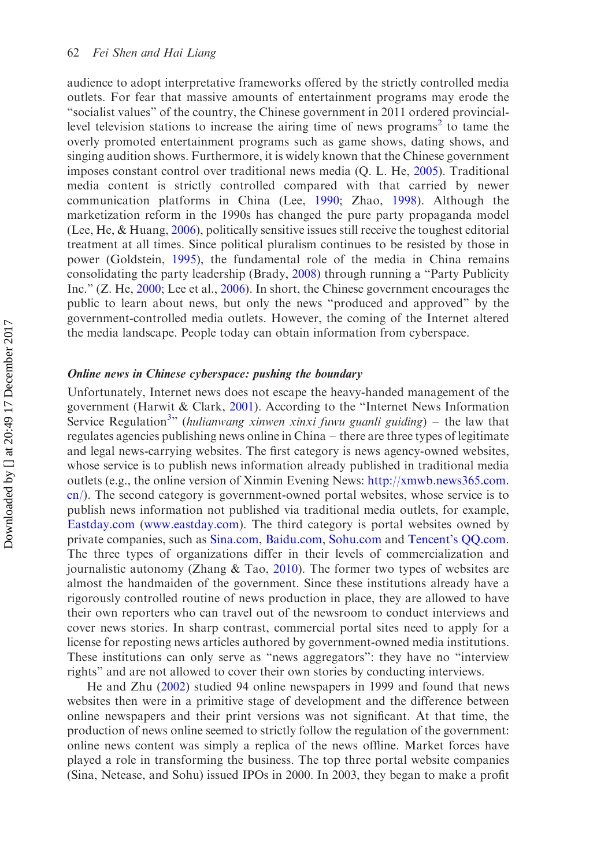audience to adopt interpretative frameworks offered by the strictly controlled media outlets. For fear that massive amounts of entertainment programs may erode the "socialist values" of the country, the Chinese government in 2011 ordered provincial-level television stations to increase the airing time of news programs<sup>[2](#page-16-1)</sup> to tame the overly promoted entertainment programs such as game shows, dating shows, and singing audition shows. Furthermore, it is widely known that the Chinese government imposes constant control over traditional news media (Q. L. He, [2005](#page-18-4)). Traditional media content is strictly controlled compared with that carried by newer communication platforms in China (Lee, [1990](#page-18-5); Zhao, [1998](#page-20-6)). Although the marketization reform in the 1990s has changed the pure party propaganda model (Lee, He, & Huang, [2006\)](#page-18-6), politically sensitive issues still receive the toughest editorial treatment at all times. Since political pluralism continues to be resisted by those in power (Goldstein, [1995](#page-17-4)), the fundamental role of the media in China remains consolidating the party leadership (Brady, [2008\)](#page-17-5) through running a "Party Publicity Inc." (Z. He, [2000;](#page-18-7) Lee et al., [2006\)](#page-18-6). In short, the Chinese government encourages the public to learn about news, but only the news "produced and approved" by the government-controlled media outlets. However, the coming of the Internet altered the media landscape. People today can obtain information from cyberspace.

#### Online news in Chinese cyberspace: pushing the boundary

Unfortunately, Internet news does not escape the heavy-handed management of the government (Harwit & Clark, [2001](#page-18-8)). According to the "Internet News Information Service Regulation<sup>[3](#page-16-2)</sup>" (hulianwang xinwen xinxi fuwu guanli guiding) – the law that regulates agencies publishing news online in China – there are three types of legitimate and legal news-carrying websites. The first category is news agency-owned websites, whose service is to publish news information already published in traditional media outlets (e.g., the online version of Xinmin Evening News: [http://xmwb.news365.com.](http://xmwb.news365.com.cn/)  $cn/$ ). The second category is government-owned portal websites, whose service is to publish news information not published via traditional media outlets, for example, [Eastday.com](http://Eastday.com) ([www.eastday.com\)](http://www.eastday.com). The third category is portal websites owned by private companies, such as [Sina.com,](http://Sina.com) [Baidu.com](http://Baidu.com), [Sohu.com](http://Sohu.com) and [Tencent's QQ.com](http://Tencent's QQ.com). The three types of organizations differ in their levels of commercialization and journalistic autonomy (Zhang & Tao, [2010\)](#page-20-7). The former two types of websites are almost the handmaiden of the government. Since these institutions already have a rigorously controlled routine of news production in place, they are allowed to have their own reporters who can travel out of the newsroom to conduct interviews and cover news stories. In sharp contrast, commercial portal sites need to apply for a license for reposting news articles authored by government-owned media institutions. These institutions can only serve as "news aggregators": they have no "interview rights" and are not allowed to cover their own stories by conducting interviews.

He and Zhu ([2002\)](#page-18-9) studied 94 online newspapers in 1999 and found that news websites then were in a primitive stage of development and the difference between online newspapers and their print versions was not significant. At that time, the production of news online seemed to strictly follow the regulation of the government: online news content was simply a replica of the news offline. Market forces have played a role in transforming the business. The top three portal website companies (Sina, Netease, and Sohu) issued IPOs in 2000. In 2003, they began to make a profit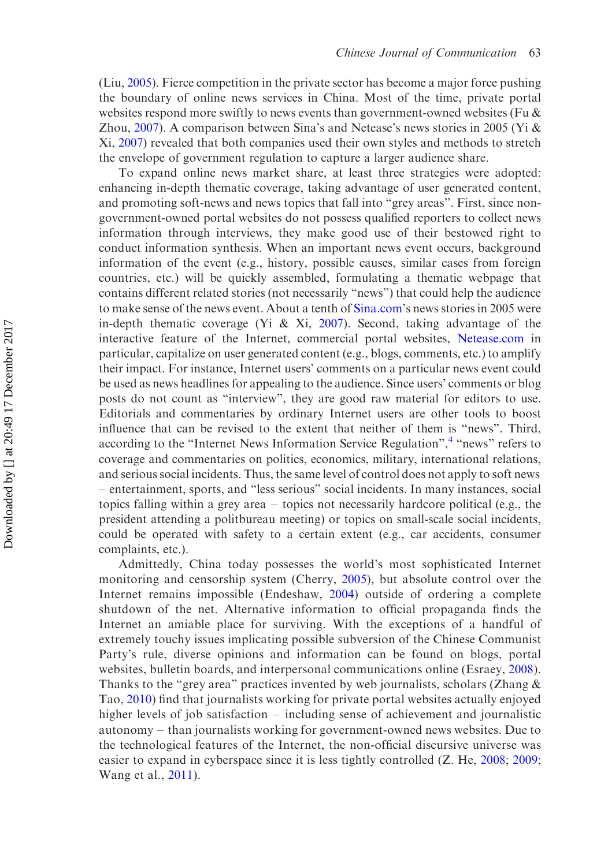(Liu, [2005](#page-18-10)). Fierce competition in the private sector has become a major force pushing the boundary of online news services in China. Most of the time, private portal websites respond more swiftly to news events than government-owned websites (Fu  $\&$ Zhou, [2007\)](#page-17-6). A comparison between Sina's and Netease's news stories in 2005 (Yi & Xi, [2007\)](#page-19-13) revealed that both companies used their own styles and methods to stretch the envelope of government regulation to capture a larger audience share.

To expand online news market share, at least three strategies were adopted: enhancing in-depth thematic coverage, taking advantage of user generated content, and promoting soft-news and news topics that fall into "grey areas". First, since nongovernment-owned portal websites do not possess qualified reporters to collect news information through interviews, they make good use of their bestowed right to conduct information synthesis. When an important news event occurs, background information of the event (e.g., history, possible causes, similar cases from foreign countries, etc.) will be quickly assembled, formulating a thematic webpage that contains different related stories (not necessarily "news") that could help the audience to make sense of the news event. About a tenth of [Sina.com](http://Sina.com)'s news stories in 2005 were in-depth thematic coverage (Yi & Xi, [2007](#page-19-13)). Second, taking advantage of the interactive feature of the Internet, commercial portal websites, [Netease.com](http://Netease.com) in particular, capitalize on user generated content (e.g., blogs, comments, etc.) to amplify their impact. For instance, Internet users' comments on a particular news event could be used as news headlines for appealing to the audience. Since users' comments or blog posts do not count as "interview", they are good raw material for editors to use. Editorials and commentaries by ordinary Internet users are other tools to boost influence that can be revised to the extent that neither of them is "news". Third, according to the "Internet News Information Service Regulation",<sup>[4](#page-16-3)</sup> "news" refers to coverage and commentaries on politics, economics, military, international relations, and serious social incidents. Thus, the same level of control does not apply to soft news – entertainment, sports, and "less serious" social incidents. In many instances, social topics falling within a grey area – topics not necessarily hardcore political (e.g., the president attending a politbureau meeting) or topics on small-scale social incidents, could be operated with safety to a certain extent (e.g., car accidents, consumer complaints, etc.).

Admittedly, China today possesses the world's most sophisticated Internet monitoring and censorship system (Cherry, [2005](#page-17-7)), but absolute control over the Internet remains impossible (Endeshaw, [2004](#page-17-8)) outside of ordering a complete shutdown of the net. Alternative information to official propaganda finds the Internet an amiable place for surviving. With the exceptions of a handful of extremely touchy issues implicating possible subversion of the Chinese Communist Party's rule, diverse opinions and information can be found on blogs, portal websites, bulletin boards, and interpersonal communications online (Esraey, [2008\)](#page-17-9). Thanks to the "grey area" practices invented by web journalists, scholars (Zhang & Tao, [2010](#page-20-7)) find that journalists working for private portal websites actually enjoyed higher levels of job satisfaction – including sense of achievement and journalistic autonomy – than journalists working for government-owned news websites. Due to the technological features of the Internet, the non-official discursive universe was easier to expand in cyberspace since it is less tightly controlled (Z. He, [2008](#page-18-11); [2009](#page-18-12); Wang et al., [2011\)](#page-19-5).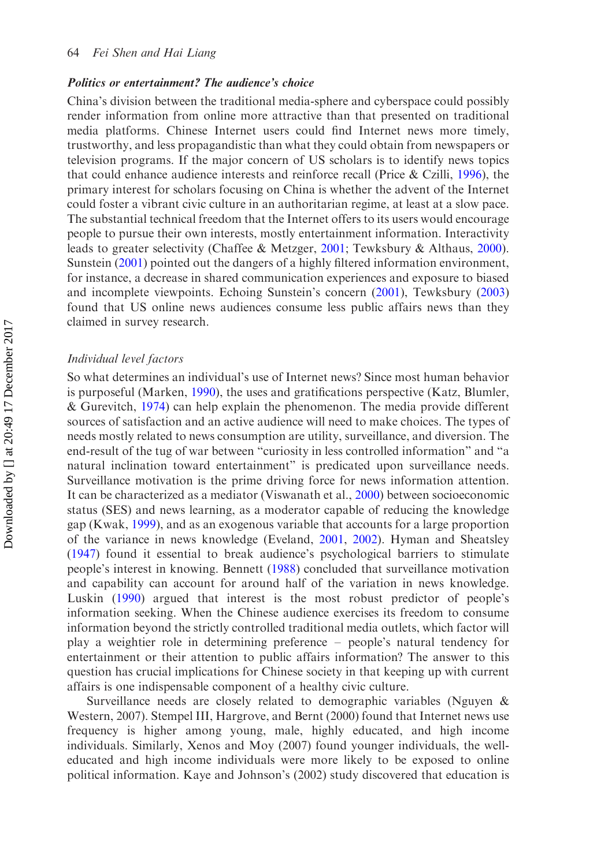# 64 Fei Shen and Hai Liang

# Politics or entertainment? The audience's choice

China's division between the traditional media-sphere and cyberspace could possibly render information from online more attractive than that presented on traditional media platforms. Chinese Internet users could find Internet news more timely, trustworthy, and less propagandistic than what they could obtain from newspapers or television programs. If the major concern of US scholars is to identify news topics that could enhance audience interests and reinforce recall (Price & Czilli, [1996\)](#page-19-14), the primary interest for scholars focusing on China is whether the advent of the Internet could foster a vibrant civic culture in an authoritarian regime, at least at a slow pace. The substantial technical freedom that the Internet offers to its users would encourage people to pursue their own interests, mostly entertainment information. Interactivity leads to greater selectivity (Chaffee & Metzger, [2001](#page-17-10); Tewksbury & Althaus, [2000\)](#page-19-15). Sunstein [\(2001](#page-19-16)) pointed out the dangers of a highly filtered information environment, for instance, a decrease in shared communication experiences and exposure to biased and incomplete viewpoints. Echoing Sunstein's concern ([2001\)](#page-19-16), Tewksbury ([2003\)](#page-19-10) found that US online news audiences consume less public affairs news than they claimed in survey research.

# Individual level factors

So what determines an individual's use of Internet news? Since most human behavior is purposeful (Marken, [1990\)](#page-18-13), the uses and gratifications perspective (Katz, Blumler, & Gurevitch, [1974](#page-18-14)) can help explain the phenomenon. The media provide different sources of satisfaction and an active audience will need to make choices. The types of needs mostly related to news consumption are utility, surveillance, and diversion. The end-result of the tug of war between "curiosity in less controlled information" and "a natural inclination toward entertainment" is predicated upon surveillance needs. Surveillance motivation is the prime driving force for news information attention. It can be characterized as a mediator (Viswanath et al., [2000\)](#page-19-17) between socioeconomic status (SES) and news learning, as a moderator capable of reducing the knowledge gap (Kwak, [1999\)](#page-18-15), and as an exogenous variable that accounts for a large proportion of the variance in news knowledge (Eveland, [2001,](#page-17-11) [2002](#page-17-12)). Hyman and Sheatsley ([1947\)](#page-18-16) found it essential to break audience's psychological barriers to stimulate people's interest in knowing. Bennett [\(1988\)](#page-17-13) concluded that surveillance motivation and capability can account for around half of the variation in news knowledge. Luskin [\(1990](#page-18-17)) argued that interest is the most robust predictor of people's information seeking. When the Chinese audience exercises its freedom to consume information beyond the strictly controlled traditional media outlets, which factor will play a weightier role in determining preference – people's natural tendency for entertainment or their attention to public affairs information? The answer to this question has crucial implications for Chinese society in that keeping up with current affairs is one indispensable component of a healthy civic culture.

Surveillance needs are closely related to demographic variables (Nguyen & Western, 2007). Stempel III, Hargrove, and Bernt (2000) found that Internet news use frequency is higher among young, male, highly educated, and high income individuals. Similarly, Xenos and Moy (2007) found younger individuals, the welleducated and high income individuals were more likely to be exposed to online political information. Kaye and Johnson's (2002) study discovered that education is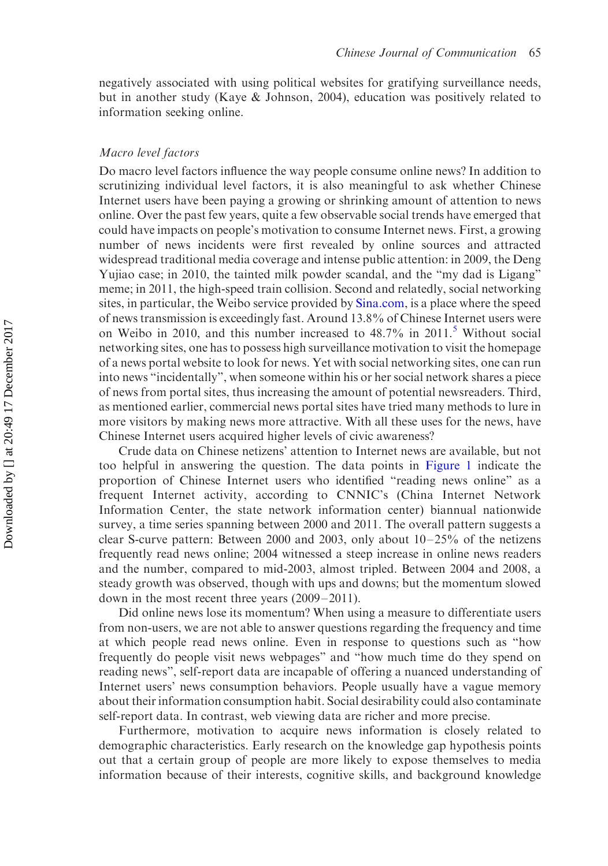negatively associated with using political websites for gratifying surveillance needs, but in another study (Kaye & Johnson, 2004), education was positively related to information seeking online.

#### Macro level factors

Do macro level factors influence the way people consume online news? In addition to scrutinizing individual level factors, it is also meaningful to ask whether Chinese Internet users have been paying a growing or shrinking amount of attention to news online. Over the past few years, quite a few observable social trends have emerged that could have impacts on people's motivation to consume Internet news. First, a growing number of news incidents were first revealed by online sources and attracted widespread traditional media coverage and intense public attention: in 2009, the Deng Yujiao case; in 2010, the tainted milk powder scandal, and the "my dad is Ligang" meme; in 2011, the high-speed train collision. Second and relatedly, social networking sites, in particular, the Weibo service provided by [Sina.com](http://Sina.com), is a place where the speed of news transmission is exceedingly fast. Around 13.8% of Chinese Internet users were on Weibo in 2010, and this number increased to  $48.7\%$  in  $2011$ .<sup>[5](#page-16-4)</sup> Without social networking sites, one has to possess high surveillance motivation to visit the homepage of a news portal website to look for news. Yet with social networking sites, one can run into news "incidentally", when someone within his or her social network shares a piece of news from portal sites, thus increasing the amount of potential newsreaders. Third, as mentioned earlier, commercial news portal sites have tried many methods to lure in more visitors by making news more attractive. With all these uses for the news, have Chinese Internet users acquired higher levels of civic awareness?

Crude data on Chinese netizens' attention to Internet news are available, but not too helpful in answering the question. The data points in [Figure 1](#page-7-0) indicate the proportion of Chinese Internet users who identified "reading news online" as a frequent Internet activity, according to CNNIC's (China Internet Network Information Center, the state network information center) biannual nationwide survey, a time series spanning between 2000 and 2011. The overall pattern suggests a clear S-curve pattern: Between 2000 and 2003, only about  $10-25%$  of the netizens frequently read news online; 2004 witnessed a steep increase in online news readers and the number, compared to mid-2003, almost tripled. Between 2004 and 2008, a steady growth was observed, though with ups and downs; but the momentum slowed down in the most recent three years (2009 –2011).

Did online news lose its momentum? When using a measure to differentiate users from non-users, we are not able to answer questions regarding the frequency and time at which people read news online. Even in response to questions such as "how frequently do people visit news webpages" and "how much time do they spend on reading news", self-report data are incapable of offering a nuanced understanding of Internet users' news consumption behaviors. People usually have a vague memory about their information consumption habit. Social desirability could also contaminate self-report data. In contrast, web viewing data are richer and more precise.

Furthermore, motivation to acquire news information is closely related to demographic characteristics. Early research on the knowledge gap hypothesis points out that a certain group of people are more likely to expose themselves to media information because of their interests, cognitive skills, and background knowledge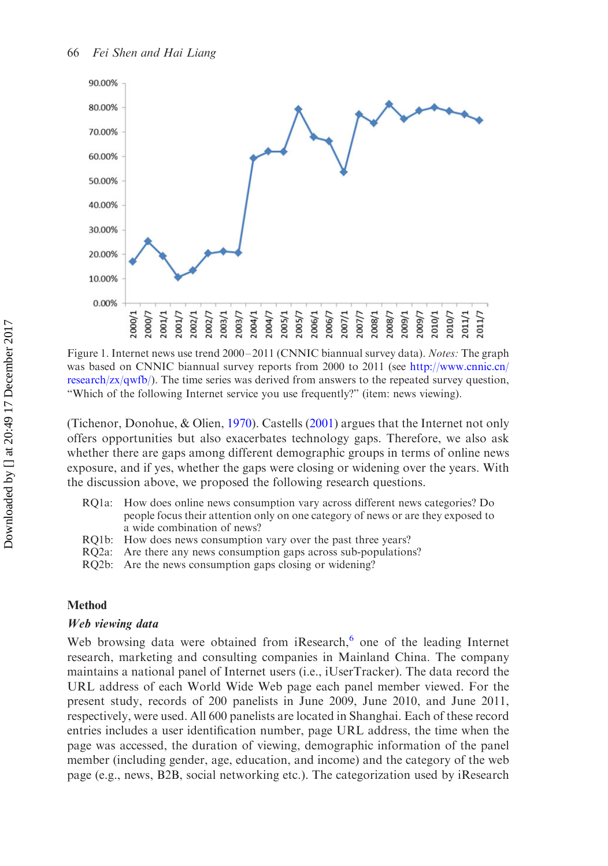<span id="page-7-0"></span>

Figure 1. Internet news use trend 2000–2011 (CNNIC biannual survey data). *Notes:* The graph was based on CNNIC biannual survey reports from 2000 to 2011 (see [http://www.cnnic.cn/](http://www.cnnic.cn/research/zx/qwfb/) [research/zx/qwfb/\)](http://www.cnnic.cn/research/zx/qwfb/). The time series was derived from answers to the repeated survey question, "Which of the following Internet service you use frequently?" (item: news viewing).

(Tichenor, Donohue, & Olien, [1970](#page-19-18)). Castells [\(2001\)](#page-17-14) argues that the Internet not only offers opportunities but also exacerbates technology gaps. Therefore, we also ask whether there are gaps among different demographic groups in terms of online news exposure, and if yes, whether the gaps were closing or widening over the years. With the discussion above, we proposed the following research questions.

- RQ1a: How does online news consumption vary across different news categories? Do people focus their attention only on one category of news or are they exposed to a wide combination of news?
- RQ1b: How does news consumption vary over the past three years?
- RQ2a: Are there any news consumption gaps across sub-populations?
- RQ2b: Are the news consumption gaps closing or widening?

# Method

#### Web viewing data

Web browsing data were obtained from  $i$ Research, $6$  one of the leading Internet research, marketing and consulting companies in Mainland China. The company maintains a national panel of Internet users (i.e., iUserTracker). The data record the URL address of each World Wide Web page each panel member viewed. For the present study, records of 200 panelists in June 2009, June 2010, and June 2011, respectively, were used. All 600 panelists are located in Shanghai. Each of these record entries includes a user identification number, page URL address, the time when the page was accessed, the duration of viewing, demographic information of the panel member (including gender, age, education, and income) and the category of the web page (e.g., news, B2B, social networking etc.). The categorization used by iResearch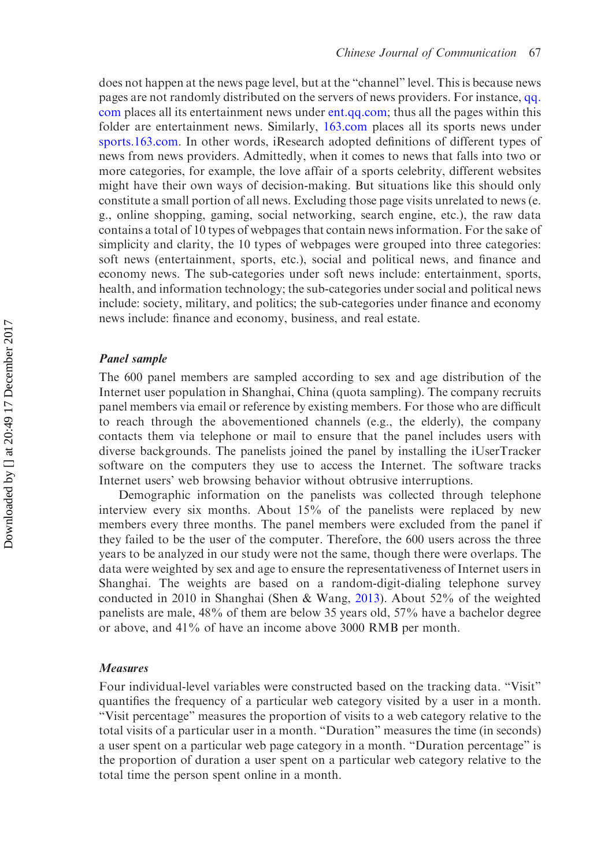does not happen at the news page level, but at the "channel" level. This is because news pages are not randomly distributed on the servers of news providers. For instance, [qq.](http://qq.com) [com](http://qq.com) places all its entertainment news under [ent.qq.com;](http://ent.qq.com) thus all the pages within this folder are entertainment news. Similarly, [163.com](http://163.com) places all its sports news under [sports.163.com.](http://sports.163.com) In other words, iResearch adopted definitions of different types of news from news providers. Admittedly, when it comes to news that falls into two or more categories, for example, the love affair of a sports celebrity, different websites might have their own ways of decision-making. But situations like this should only constitute a small portion of all news. Excluding those page visits unrelated to news (e. g., online shopping, gaming, social networking, search engine, etc.), the raw data contains a total of 10 types of webpages that contain news information. For the sake of simplicity and clarity, the 10 types of webpages were grouped into three categories: soft news (entertainment, sports, etc.), social and political news, and finance and economy news. The sub-categories under soft news include: entertainment, sports, health, and information technology; the sub-categories under social and political news include: society, military, and politics; the sub-categories under finance and economy news include: finance and economy, business, and real estate.

# Panel sample

The 600 panel members are sampled according to sex and age distribution of the Internet user population in Shanghai, China (quota sampling). The company recruits panel members via email or reference by existing members. For those who are difficult to reach through the abovementioned channels (e.g., the elderly), the company contacts them via telephone or mail to ensure that the panel includes users with diverse backgrounds. The panelists joined the panel by installing the iUserTracker software on the computers they use to access the Internet. The software tracks Internet users' web browsing behavior without obtrusive interruptions.

Demographic information on the panelists was collected through telephone interview every six months. About 15% of the panelists were replaced by new members every three months. The panel members were excluded from the panel if they failed to be the user of the computer. Therefore, the 600 users across the three years to be analyzed in our study were not the same, though there were overlaps. The data were weighted by sex and age to ensure the representativeness of Internet users in Shanghai. The weights are based on a random-digit-dialing telephone survey conducted in 2010 in Shanghai (Shen & Wang, [2013](#page-19-19)). About 52% of the weighted panelists are male, 48% of them are below 35 years old, 57% have a bachelor degree or above, and 41% of have an income above 3000 RMB per month.

#### Measures

Four individual-level variables were constructed based on the tracking data. "Visit" quantifies the frequency of a particular web category visited by a user in a month. "Visit percentage" measures the proportion of visits to a web category relative to the total visits of a particular user in a month. "Duration" measures the time (in seconds) a user spent on a particular web page category in a month. "Duration percentage" is the proportion of duration a user spent on a particular web category relative to the total time the person spent online in a month.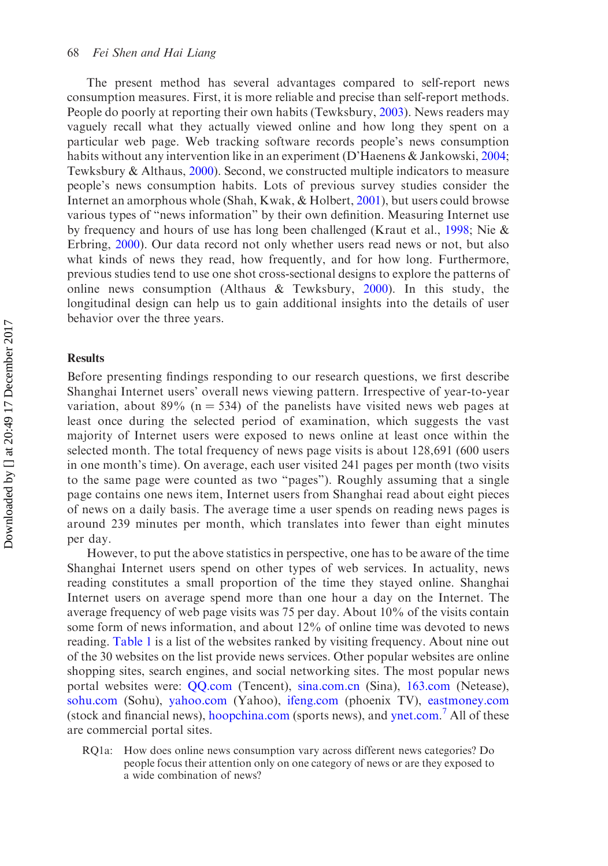The present method has several advantages compared to self-report news consumption measures. First, it is more reliable and precise than self-report methods. People do poorly at reporting their own habits (Tewksbury, [2003\)](#page-19-10). News readers may vaguely recall what they actually viewed online and how long they spent on a particular web page. Web tracking software records people's news consumption habits without any intervention like in an experiment (D'Haenens & Jankowski, [2004](#page-17-15); Tewksbury & Althaus, [2000](#page-19-15)). Second, we constructed multiple indicators to measure people's news consumption habits. Lots of previous survey studies consider the Internet an amorphous whole (Shah, Kwak, & Holbert, [2001](#page-19-20)), but users could browse various types of "news information" by their own definition. Measuring Internet use by frequency and hours of use has long been challenged (Kraut et al., [1998;](#page-18-18) Nie & Erbring, [2000](#page-18-19)). Our data record not only whether users read news or not, but also what kinds of news they read, how frequently, and for how long. Furthermore, previous studies tend to use one shot cross-sectional designs to explore the patterns of online news consumption (Althaus & Tewksbury, [2000\)](#page-17-16). In this study, the longitudinal design can help us to gain additional insights into the details of user behavior over the three years.

#### Results

Before presenting findings responding to our research questions, we first describe Shanghai Internet users' overall news viewing pattern. Irrespective of year-to-year variation, about 89% ( $n = 534$ ) of the panelists have visited news web pages at least once during the selected period of examination, which suggests the vast majority of Internet users were exposed to news online at least once within the selected month. The total frequency of news page visits is about 128,691 (600 users in one month's time). On average, each user visited 241 pages per month (two visits to the same page were counted as two "pages"). Roughly assuming that a single page contains one news item, Internet users from Shanghai read about eight pieces of news on a daily basis. The average time a user spends on reading news pages is around 239 minutes per month, which translates into fewer than eight minutes per day.

However, to put the above statistics in perspective, one has to be aware of the time Shanghai Internet users spend on other types of web services. In actuality, news reading constitutes a small proportion of the time they stayed online. Shanghai Internet users on average spend more than one hour a day on the Internet. The average frequency of web page visits was 75 per day. About 10% of the visits contain some form of news information, and about 12% of online time was devoted to news reading. [Table 1](#page-10-0) is a list of the websites ranked by visiting frequency. About nine out of the 30 websites on the list provide news services. Other popular websites are online shopping sites, search engines, and social networking sites. The most popular news portal websites were: [QQ.com](http://QQ.com) (Tencent), [sina.com.cn](http://sina.com.cn) (Sina), [163.com](http://163.com) (Netease), [sohu.com](http://sohu.com) (Sohu), [yahoo.com](http://yahoo.com) (Yahoo), [ifeng.com](http://ifeng.com) (phoenix TV), [eastmoney.com](http://eastmoney.com) (stock and financial news), [hoopchina.com](http://hoopchina.com) (sports news), and [ynet.com.](http://ynet.com) [7](#page-16-6) All of these are commercial portal sites.

RQ1a: How does online news consumption vary across different news categories? Do people focus their attention only on one category of news or are they exposed to a wide combination of news?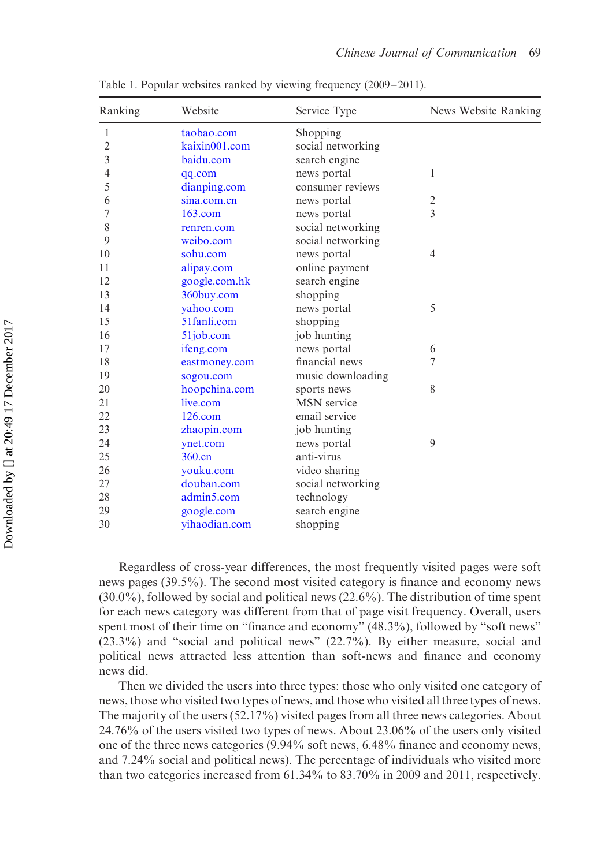| Ranking        | Website       | Service Type       | News Website Ranking |  |
|----------------|---------------|--------------------|----------------------|--|
| 1              | taobao.com    | Shopping           |                      |  |
| $\overline{c}$ | kaixin001.com | social networking  |                      |  |
| 3              | baidu.com     | search engine      |                      |  |
| 4              | qq.com        | news portal        | 1                    |  |
| 5              | dianping.com  | consumer reviews   |                      |  |
| 6              | sina.com.cn   | news portal        | 2                    |  |
| 7              | $163$ .com    | news portal        | 3                    |  |
| 8              | renren.com    | social networking  |                      |  |
| 9              | weibo.com     | social networking  |                      |  |
| 10             | sohu.com      | news portal        | $\overline{4}$       |  |
| 11             | alipay.com    | online payment     |                      |  |
| 12             | google.com.hk | search engine      |                      |  |
| 13             | 360buy.com    | shopping           |                      |  |
| 14             | yahoo.com     | news portal        | 5                    |  |
| 15             | 51fanli.com   | shopping           |                      |  |
| 16             | 51job.com     | job hunting        |                      |  |
| 17             | ifeng.com     | news portal        | 6                    |  |
| 18             | eastmoney.com | financial news     | 7                    |  |
| 19             | sogou.com     | music downloading  |                      |  |
| 20             | hoopchina.com | sports news        | 8                    |  |
| 21             | live.com      | <b>MSN</b> service |                      |  |
| 22             | $126$ .com    | email service      |                      |  |
| 23             | zhaopin.com   | job hunting        |                      |  |
| 24             | ynet.com      | news portal        | 9                    |  |
| 25             | $360$ .cn     | anti-virus         |                      |  |
| 26             | youku.com     | video sharing      |                      |  |
| 27             | douban.com    | social networking  |                      |  |
| 28             | admin5.com    | technology         |                      |  |
| 29             | google.com    | search engine      |                      |  |
| 30             | yihaodian.com | shopping           |                      |  |

<span id="page-10-0"></span>Table 1. Popular websites ranked by viewing frequency (2009 –2011).

Regardless of cross-year differences, the most frequently visited pages were soft news pages (39.5%). The second most visited category is finance and economy news (30.0%), followed by social and political news (22.6%). The distribution of time spent for each news category was different from that of page visit frequency. Overall, users spent most of their time on "finance and economy" (48.3%), followed by "soft news" (23.3%) and "social and political news" (22.7%). By either measure, social and political news attracted less attention than soft-news and finance and economy news did.

Then we divided the users into three types: those who only visited one category of news, those who visited two types of news, and those who visited all three types of news. The majority of the users (52.17%) visited pages from all three news categories. About 24.76% of the users visited two types of news. About 23.06% of the users only visited one of the three news categories (9.94% soft news, 6.48% finance and economy news, and 7.24% social and political news). The percentage of individuals who visited more than two categories increased from 61.34% to 83.70% in 2009 and 2011, respectively.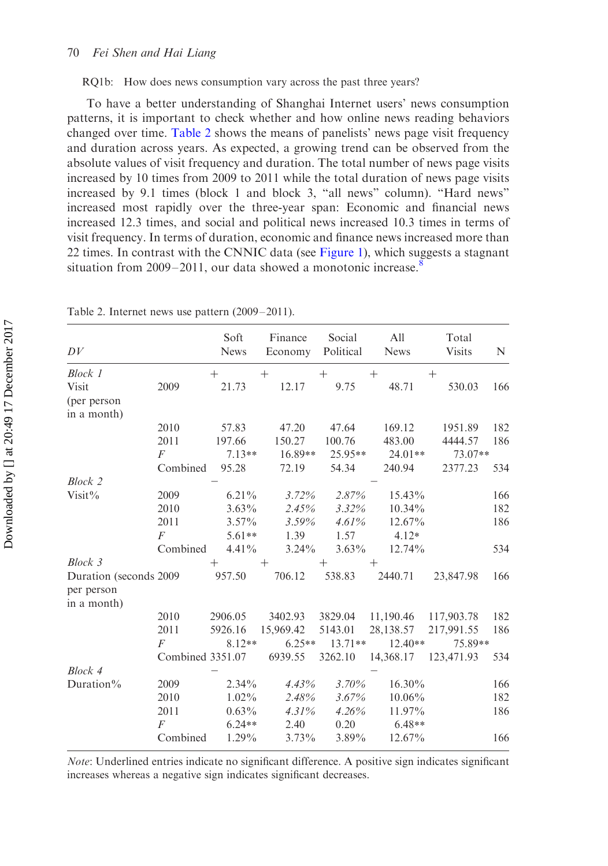### 70 Fei Shen and Hai Liang

# RQ1b: How does news consumption vary across the past three years?

To have a better understanding of Shanghai Internet users' news consumption patterns, it is important to check whether and how online news reading behaviors changed over time. [Table 2](#page-11-0) shows the means of panelists' news page visit frequency and duration across years. As expected, a growing trend can be observed from the absolute values of visit frequency and duration. The total number of news page visits increased by 10 times from 2009 to 2011 while the total duration of news page visits increased by 9.1 times (block 1 and block 3, "all news" column). "Hard news" increased most rapidly over the three-year span: Economic and financial news increased 12.3 times, and social and political news increased 10.3 times in terms of visit frequency. In terms of duration, economic and finance news increased more than 22 times. In contrast with the CNNIC data (see [Figure 1\)](#page-7-0), which suggests a stagnant situation from  $2009 - 2011$ , our data showed a monotonic increase.<sup>[8](#page-17-17)</sup>

|                         |                  | Soft        | Finance   | Social    | All         | Total         |     |
|-------------------------|------------------|-------------|-----------|-----------|-------------|---------------|-----|
| D V                     |                  | <b>News</b> | Economy   | Political | <b>News</b> | <b>Visits</b> | N   |
| <b>Block 1</b>          |                  | $^{+}$      | $+$       | $+$       | $+$         | $+$           |     |
| Visit                   | 2009             | 21.73       | 12.17     | 9.75      | 48.71       | 530.03        | 166 |
| (per person             |                  |             |           |           |             |               |     |
| in a month)             |                  |             |           |           |             |               |     |
|                         | 2010             | 57.83       | 47.20     | 47.64     | 169.12      | 1951.89       | 182 |
|                         | 2011             | 197.66      | 150.27    | 100.76    | 483.00      | 4444.57       | 186 |
|                         | $\overline{F}$   | $7.13**$    | 16.89**   | 25.95**   | $24.01**$   | 73.07**       |     |
|                         | Combined         | 95.28       | 72.19     | 54.34     | 240.94      | 2377.23       | 534 |
| <b>Block 2</b>          |                  |             |           |           |             |               |     |
| Visit%                  | 2009             | $6.21\%$    | 3.72%     | 2.87%     | 15.43%      |               | 166 |
|                         | 2010             | $3.63\%$    | 2.45%     | 3.32%     | $10.34\%$   |               | 182 |
|                         | 2011             | $3.57\%$    | 3.59%     | 4.61%     | 12.67%      |               | 186 |
|                         | $\overline{F}$   | $5.61**$    | 1.39      | 1.57      | $4.12*$     |               |     |
|                         | Combined         | 4.41%       | $3.24\%$  | $3.63\%$  | 12.74%      |               | 534 |
| Block 3                 |                  | $^{+}$      | $+$       | $+$       | $+$         |               |     |
| Duration (seconds 2009) |                  | 957.50      | 706.12    | 538.83    | 2440.71     | 23,847.98     | 166 |
| per person              |                  |             |           |           |             |               |     |
| in a month)             |                  |             |           |           |             |               |     |
|                         | 2010             | 2906.05     | 3402.93   | 3829.04   | 11,190.46   | 117,903.78    | 182 |
|                         | 2011             | 5926.16     | 15.969.42 | 5143.01   | 28.138.57   | 217.991.55    | 186 |
|                         | $\overline{F}$   | $8.12**$    | $6.25**$  | $13.71**$ | $12.40**$   | 75.89**       |     |
|                         | Combined 3351.07 |             | 6939.55   | 3262.10   | 14,368.17   | 123,471.93    | 534 |
| Block 4                 |                  |             |           |           |             |               |     |
| Duration $%$            | 2009             | $2.34\%$    | 4.43%     | $3.70\%$  | $16.30\%$   |               | 166 |
|                         | 2010             | $1.02\%$    | 2.48%     | 3.67%     | $10.06\%$   |               | 182 |
|                         | 2011             | $0.63\%$    | 4.31%     | 4.26%     | 11.97%      |               | 186 |
|                         | $\overline{F}$   | $6.24**$    | 2.40      | 0.20      | $6.48**$    |               |     |
|                         | Combined         | 1.29%       | $3.73\%$  | 3.89%     | 12.67%      |               | 166 |

<span id="page-11-0"></span>Table 2. Internet news use pattern (2009 – 2011).

Note: Underlined entries indicate no significant difference. A positive sign indicates significant increases whereas a negative sign indicates significant decreases.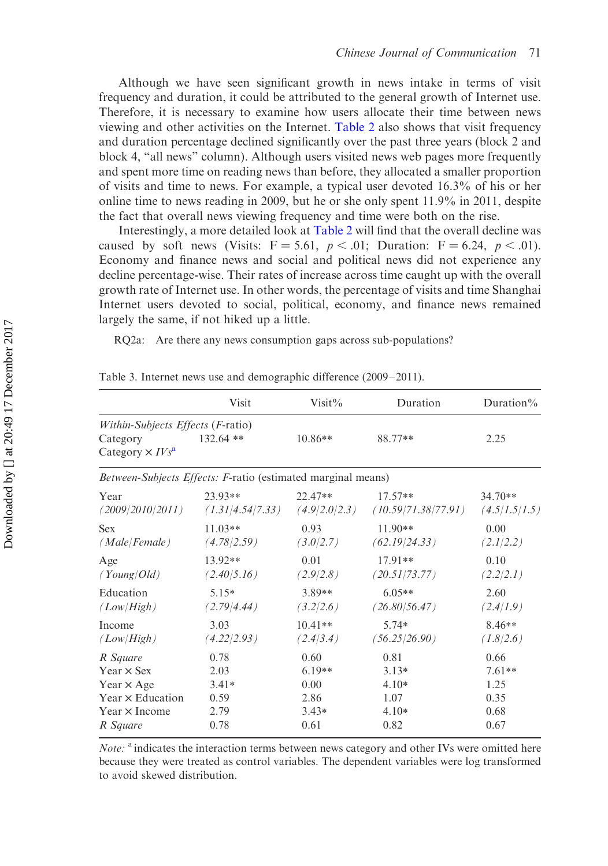Although we have seen significant growth in news intake in terms of visit frequency and duration, it could be attributed to the general growth of Internet use. Therefore, it is necessary to examine how users allocate their time between news viewing and other activities on the Internet. [Table 2](#page-11-0) also shows that visit frequency and duration percentage declined significantly over the past three years (block 2 and block 4, "all news" column). Although users visited news web pages more frequently and spent more time on reading news than before, they allocated a smaller proportion of visits and time to news. For example, a typical user devoted 16.3% of his or her online time to news reading in 2009, but he or she only spent 11.9% in 2011, despite the fact that overall news viewing frequency and time were both on the rise.

Interestingly, a more detailed look at [Table 2](#page-11-0) will find that the overall decline was caused by soft news (Visits:  $F = 5.61, p < .01$ ; Duration:  $F = 6.24, p < .01$ ). Economy and finance news and social and political news did not experience any decline percentage-wise. Their rates of increase across time caught up with the overall growth rate of Internet use. In other words, the percentage of visits and time Shanghai Internet users devoted to social, political, economy, and finance news remained largely the same, if not hiked up a little.

RQ2a: Are there any news consumption gaps across sub-populations?

|                                                                          | Visit                                                               | $Visit\%$ | Duration            | Duration $\%$ |
|--------------------------------------------------------------------------|---------------------------------------------------------------------|-----------|---------------------|---------------|
| Within-Subjects Effects (F-ratio)<br>Category<br>Category $\times IVs^a$ | $132.64$ **                                                         | $10.86**$ | 88.77**             | 2.25          |
|                                                                          | <i>Between-Subjects Effects: F-ratio (estimated marginal means)</i> |           |                     |               |
| Year                                                                     | 23.93**                                                             | $22.47**$ | $17.57**$           | $34.70**$     |
| (2009/2010/2011)                                                         | $(1.31/4.54/7.33)$ $(4.9/2.0/2.3)$                                  |           | (10.59/71.38/77.91) | (4.5/1.5/1.5) |
| <b>Sex</b>                                                               | $11.03**$                                                           | 0.93      | 11.90**             | 0.00          |
| (Male/Female)                                                            | (4.78/2.59)                                                         | (3.0/2.7) | (62.19/24.33)       | (2.1/2.2)     |
| Age                                                                      | $13.92**$                                                           | 0.01      | $17.91**$           | 0.10          |
| (Young/Old)                                                              | (2.40/5.16)                                                         | (2.9/2.8) | (20.51/73.77)       | (2.2/2.1)     |
| Education                                                                | $5.15*$                                                             | $3.89**$  | $6.05**$            | 2.60          |
| (Low/High)                                                               | (2.79/4.44)                                                         | (3.2/2.6) | (26.80/56.47)       | (2.4/1.9)     |
| Income                                                                   | 3.03                                                                | $10.41**$ | 5.74*               | $8.46**$      |
| (Low/High)                                                               | (4.22/2.93)                                                         | (2.4/3.4) | (56.25/26.90)       | (1.8/2.6)     |
| R Square                                                                 | 0.78                                                                | 0.60      | 0.81                | 0.66          |
| Year $\times$ Sex                                                        | 2.03                                                                | $6.19**$  | $3.13*$             | $7.61**$      |
| Year $\times$ Age                                                        | $3.41*$                                                             | 0.00      | $4.10*$             | 1.25          |
| Year $\times$ Education                                                  | 0.59                                                                | 2.86      | 1.07                | 0.35          |
| Year $\times$ Income                                                     | 2.79                                                                | $3.43*$   | $4.10*$             | 0.68          |
| R Square                                                                 | 0.78                                                                | 0.61      | 0.82                | 0.67          |

<span id="page-12-0"></span>Table 3. Internet news use and demographic difference (2009 –2011).

*Note:*  $\alpha$  indicates the interaction terms between news category and other IVs were omitted here because they were treated as control variables. The dependent variables were log transformed to avoid skewed distribution.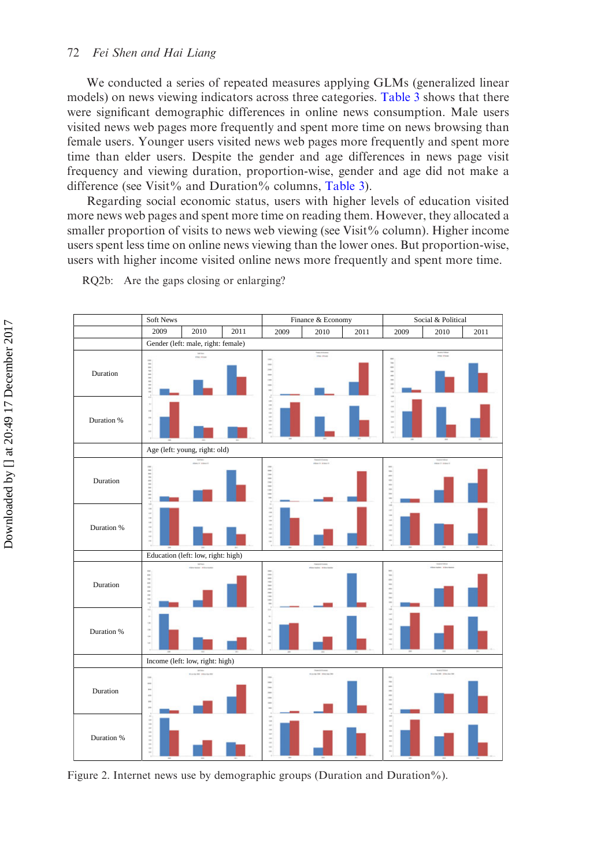We conducted a series of repeated measures applying GLMs (generalized linear models) on news viewing indicators across three categories. [Table 3](#page-12-0) shows that there were significant demographic differences in online news consumption. Male users visited news web pages more frequently and spent more time on news browsing than female users. Younger users visited news web pages more frequently and spent more time than elder users. Despite the gender and age differences in news page visit frequency and viewing duration, proportion-wise, gender and age did not make a difference (see Visit $\%$  and Duration $\%$  columns, [Table 3\)](#page-12-0).

Regarding social economic status, users with higher levels of education visited more news web pages and spent more time on reading them. However, they allocated a smaller proportion of visits to news web viewing (see Visit% column). Higher income users spent less time on online news viewing than the lower ones. But proportion-wise, users with higher income visited online news more frequently and spent more time.

<span id="page-13-0"></span>

RQ2b: Are the gaps closing or enlarging?

Figure 2. Internet news use by demographic groups (Duration and Duration%).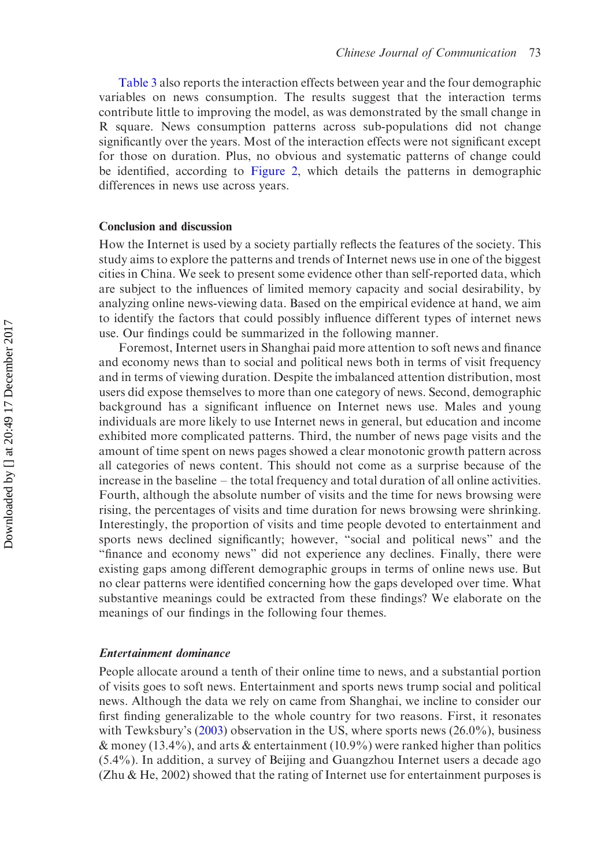[Table 3](#page-12-0) also reports the interaction effects between year and the four demographic variables on news consumption. The results suggest that the interaction terms contribute little to improving the model, as was demonstrated by the small change in R square. News consumption patterns across sub-populations did not change significantly over the years. Most of the interaction effects were not significant except for those on duration. Plus, no obvious and systematic patterns of change could be identified, according to [Figure 2](#page-13-0), which details the patterns in demographic differences in news use across years.

# Conclusion and discussion

How the Internet is used by a society partially reflects the features of the society. This study aims to explore the patterns and trends of Internet news use in one of the biggest cities in China. We seek to present some evidence other than self-reported data, which are subject to the influences of limited memory capacity and social desirability, by analyzing online news-viewing data. Based on the empirical evidence at hand, we aim to identify the factors that could possibly influence different types of internet news use. Our findings could be summarized in the following manner.

Foremost, Internet users in Shanghai paid more attention to soft news and finance and economy news than to social and political news both in terms of visit frequency and in terms of viewing duration. Despite the imbalanced attention distribution, most users did expose themselves to more than one category of news. Second, demographic background has a significant influence on Internet news use. Males and young individuals are more likely to use Internet news in general, but education and income exhibited more complicated patterns. Third, the number of news page visits and the amount of time spent on news pages showed a clear monotonic growth pattern across all categories of news content. This should not come as a surprise because of the increase in the baseline – the total frequency and total duration of all online activities. Fourth, although the absolute number of visits and the time for news browsing were rising, the percentages of visits and time duration for news browsing were shrinking. Interestingly, the proportion of visits and time people devoted to entertainment and sports news declined significantly; however, "social and political news" and the "finance and economy news" did not experience any declines. Finally, there were existing gaps among different demographic groups in terms of online news use. But no clear patterns were identified concerning how the gaps developed over time. What substantive meanings could be extracted from these findings? We elaborate on the meanings of our findings in the following four themes.

# Entertainment dominance

People allocate around a tenth of their online time to news, and a substantial portion of visits goes to soft news. Entertainment and sports news trump social and political news. Although the data we rely on came from Shanghai, we incline to consider our first finding generalizable to the whole country for two reasons. First, it resonates with Tewksbury's [\(2003](#page-19-10)) observation in the US, where sports news (26.0%), business & money (13.4%), and arts & entertainment (10.9%) were ranked higher than politics (5.4%). In addition, a survey of Beijing and Guangzhou Internet users a decade ago (Zhu & He, 2002) showed that the rating of Internet use for entertainment purposes is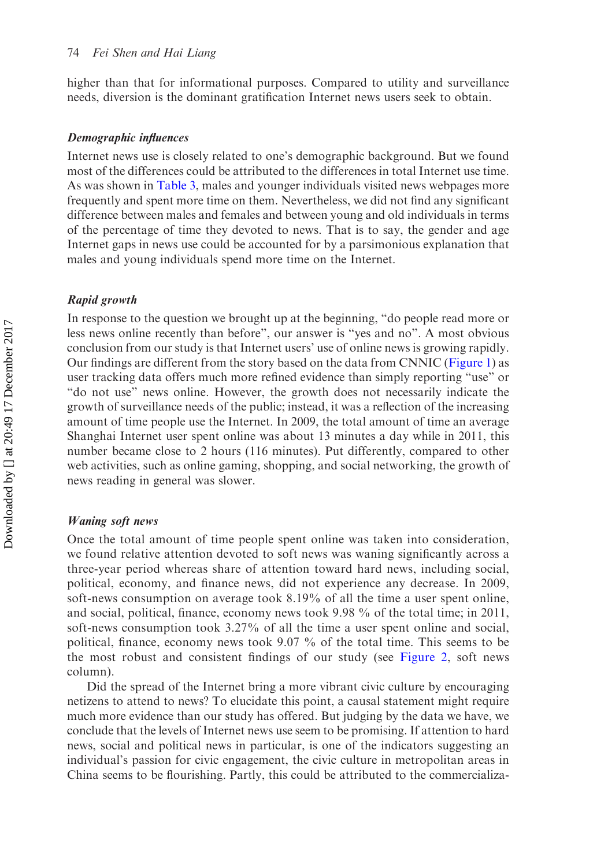higher than that for informational purposes. Compared to utility and surveillance needs, diversion is the dominant gratification Internet news users seek to obtain.

#### Demographic influences

Internet news use is closely related to one's demographic background. But we found most of the differences could be attributed to the differences in total Internet use time. As was shown in [Table 3,](#page-12-0) males and younger individuals visited news webpages more frequently and spent more time on them. Nevertheless, we did not find any significant difference between males and females and between young and old individuals in terms of the percentage of time they devoted to news. That is to say, the gender and age Internet gaps in news use could be accounted for by a parsimonious explanation that males and young individuals spend more time on the Internet.

### Rapid growth

In response to the question we brought up at the beginning, "do people read more or less news online recently than before", our answer is "yes and no". A most obvious conclusion from our study is that Internet users' use of online news is growing rapidly. Our findings are different from the story based on the data from CNNIC ([Figure 1\)](#page-7-0) as user tracking data offers much more refined evidence than simply reporting "use" or "do not use" news online. However, the growth does not necessarily indicate the growth of surveillance needs of the public; instead, it was a reflection of the increasing amount of time people use the Internet. In 2009, the total amount of time an average Shanghai Internet user spent online was about 13 minutes a day while in 2011, this number became close to 2 hours (116 minutes). Put differently, compared to other web activities, such as online gaming, shopping, and social networking, the growth of news reading in general was slower.

# Waning soft news

Once the total amount of time people spent online was taken into consideration, we found relative attention devoted to soft news was waning significantly across a three-year period whereas share of attention toward hard news, including social, political, economy, and finance news, did not experience any decrease. In 2009, soft-news consumption on average took 8.19% of all the time a user spent online, and social, political, finance, economy news took 9.98 % of the total time; in 2011, soft-news consumption took 3.27% of all the time a user spent online and social, political, finance, economy news took 9.07 % of the total time. This seems to be the most robust and consistent findings of our study (see [Figure 2,](#page-13-0) soft news column).

Did the spread of the Internet bring a more vibrant civic culture by encouraging netizens to attend to news? To elucidate this point, a causal statement might require much more evidence than our study has offered. But judging by the data we have, we conclude that the levels of Internet news use seem to be promising. If attention to hard news, social and political news in particular, is one of the indicators suggesting an individual's passion for civic engagement, the civic culture in metropolitan areas in China seems to be flourishing. Partly, this could be attributed to the commercializa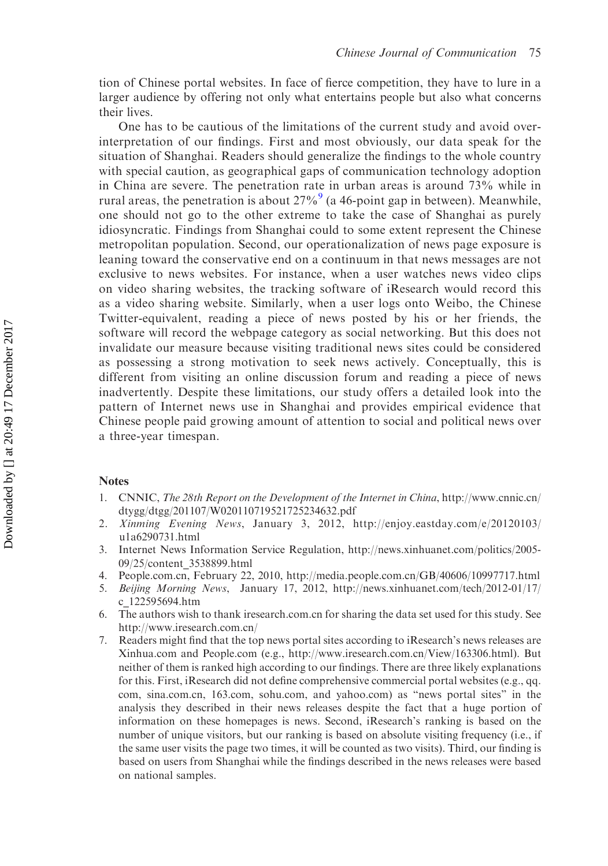tion of Chinese portal websites. In face of fierce competition, they have to lure in a larger audience by offering not only what entertains people but also what concerns their lives.

One has to be cautious of the limitations of the current study and avoid overinterpretation of our findings. First and most obviously, our data speak for the situation of Shanghai. Readers should generalize the findings to the whole country with special caution, as geographical gaps of communication technology adoption in China are severe. The penetration rate in urban areas is around 73% while in rural areas, the penetration is about  $27\%$ <sup>[9](#page-17-18)</sup> (a 46-point gap in between). Meanwhile, one should not go to the other extreme to take the case of Shanghai as purely idiosyncratic. Findings from Shanghai could to some extent represent the Chinese metropolitan population. Second, our operationalization of news page exposure is leaning toward the conservative end on a continuum in that news messages are not exclusive to news websites. For instance, when a user watches news video clips on video sharing websites, the tracking software of iResearch would record this as a video sharing website. Similarly, when a user logs onto Weibo, the Chinese Twitter-equivalent, reading a piece of news posted by his or her friends, the software will record the webpage category as social networking. But this does not invalidate our measure because visiting traditional news sites could be considered as possessing a strong motivation to seek news actively. Conceptually, this is different from visiting an online discussion forum and reading a piece of news inadvertently. Despite these limitations, our study offers a detailed look into the pattern of Internet news use in Shanghai and provides empirical evidence that Chinese people paid growing amount of attention to social and political news over a three-year timespan.

#### <span id="page-16-0"></span>Notes

- <span id="page-16-1"></span>1. CNNIC, The 28th Report on the Development of the Internet in China, http://www.cnnic.cn/ dtygg/dtgg/201107/W020110719521725234632.pdf
- 2. Xinming Evening News, January 3, 2012, http://enjoy.eastday.com/e/20120103/ u1a6290731.html
- <span id="page-16-3"></span><span id="page-16-2"></span>3. Internet News Information Service Regulation, http://news.xinhuanet.com/politics/2005- 09/25/content\_3538899.html
- <span id="page-16-4"></span>4. People.com.cn, February 22, 2010, http://media.people.com.cn/GB/40606/10997717.html
- <span id="page-16-5"></span>5. Beijing Morning News, January 17, 2012, http://news.xinhuanet.com/tech/2012-01/17/ c\_122595694.htm
- <span id="page-16-6"></span>6. The authors wish to thank iresearch.com.cn for sharing the data set used for this study. See http://www.iresearch.com.cn/
- 7. Readers might find that the top news portal sites according to iResearch's news releases are Xinhua.com and People.com (e.g., http://www.iresearch.com.cn/View/163306.html). But neither of them is ranked high according to our findings. There are three likely explanations for this. First, iResearch did not define comprehensive commercial portal websites (e.g., qq. com, sina.com.cn, 163.com, sohu.com, and yahoo.com) as "news portal sites" in the analysis they described in their news releases despite the fact that a huge portion of information on these homepages is news. Second, iResearch's ranking is based on the number of unique visitors, but our ranking is based on absolute visiting frequency (i.e., if the same user visits the page two times, it will be counted as two visits). Third, our finding is based on users from Shanghai while the findings described in the news releases were based on national samples.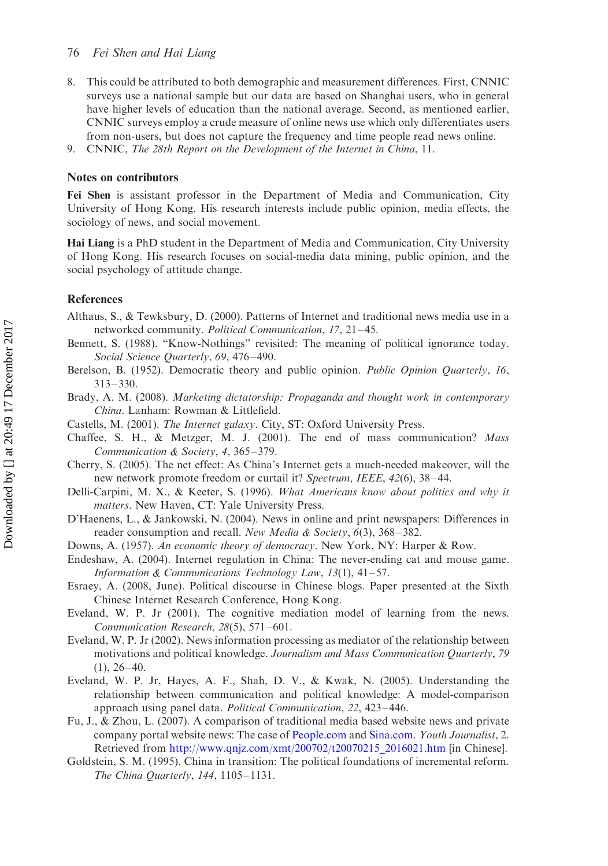# 76 Fei Shen and Hai Liang

- <span id="page-17-17"></span>8. This could be attributed to both demographic and measurement differences. First, CNNIC surveys use a national sample but our data are based on Shanghai users, who in general have higher levels of education than the national average. Second, as mentioned earlier, CNNIC surveys employ a crude measure of online news use which only differentiates users from non-users, but does not capture the frequency and time people read news online.
- <span id="page-17-18"></span>9. CNNIC, The 28th Report on the Development of the Internet in China, 11.

### Notes on contributors

Fei Shen is assistant professor in the Department of Media and Communication, City University of Hong Kong. His research interests include public opinion, media effects, the sociology of news, and social movement.

Hai Liang is a PhD student in the Department of Media and Communication, City University of Hong Kong. His research focuses on social-media data mining, public opinion, and the social psychology of attitude change.

#### References

- <span id="page-17-16"></span>Althaus, S., & Tewksbury, D. (2000). Patterns of Internet and traditional news media use in a networked community. Political Communication, 17, 21 – 45.
- <span id="page-17-13"></span>Bennett, S. (1988). "Know-Nothings" revisited: The meaning of political ignorance today. Social Science Quarterly, 69, 476-490.
- <span id="page-17-2"></span>Berelson, B. (1952). Democratic theory and public opinion. Public Opinion Quarterly, 16,  $313 - 330.$
- <span id="page-17-5"></span>Brady, A. M. (2008). Marketing dictatorship: Propaganda and thought work in contemporary China. Lanham: Rowman & Littlefield.
- <span id="page-17-14"></span>Castells, M. (2001). The Internet galaxy. City, ST: Oxford University Press.
- <span id="page-17-10"></span>Chaffee, S. H., & Metzger, M. J. (2001). The end of mass communication? Mass Communication & Society, 4, 365-379.
- <span id="page-17-7"></span>Cherry, S. (2005). The net effect: As China's Internet gets a much-needed makeover, will the new network promote freedom or curtail it? Spectrum, IEEE, 42(6), 38–44.
- <span id="page-17-0"></span>Delli-Carpini, M. X., & Keeter, S. (1996). What Americans know about politics and why it matters. New Haven, CT: Yale University Press.
- <span id="page-17-15"></span>D'Haenens, L., & Jankowski, N. (2004). News in online and print newspapers: Differences in reader consumption and recall. New Media & Society, 6(3), 368-382.
- <span id="page-17-1"></span>Downs, A. (1957). An economic theory of democracy. New York, NY: Harper & Row.
- <span id="page-17-8"></span>Endeshaw, A. (2004). Internet regulation in China: The never-ending cat and mouse game. Information & Communications Technology Law, 13(1), 41-57.
- <span id="page-17-9"></span>Esraey, A. (2008, June). Political discourse in Chinese blogs. Paper presented at the Sixth Chinese Internet Research Conference, Hong Kong.
- <span id="page-17-11"></span>Eveland, W. P. Jr (2001). The cognitive mediation model of learning from the news. Communication Research, 28(5), 571–601.
- <span id="page-17-12"></span>Eveland, W. P. Jr (2002). News information processing as mediator of the relationship between motivations and political knowledge. Journalism and Mass Communication Quarterly, 79  $(1), 26 - 40.$
- <span id="page-17-3"></span>Eveland, W. P. Jr, Hayes, A. F., Shah, D. V., & Kwak, N. (2005). Understanding the relationship between communication and political knowledge: A model-comparison approach using panel data. Political Communication, 22, 423-446.
- <span id="page-17-6"></span>Fu, J., & Zhou, L. (2007). A comparison of traditional media based website news and private company portal website news: The case of [People.com](http://People.com) and [Sina.com](http://Sina.com). Youth Journalist, 2. Retrieved from [http://www.qnjz.com/xmt/200702/t20070215\\_2016021.htm](http://www.qnjz.com/xmt/200702/t20070215_2016021.htm) [in Chinese].
- <span id="page-17-4"></span>Goldstein, S. M. (1995). China in transition: The political foundations of incremental reform. The China Quarterly,  $144$ ,  $1105-1131$ .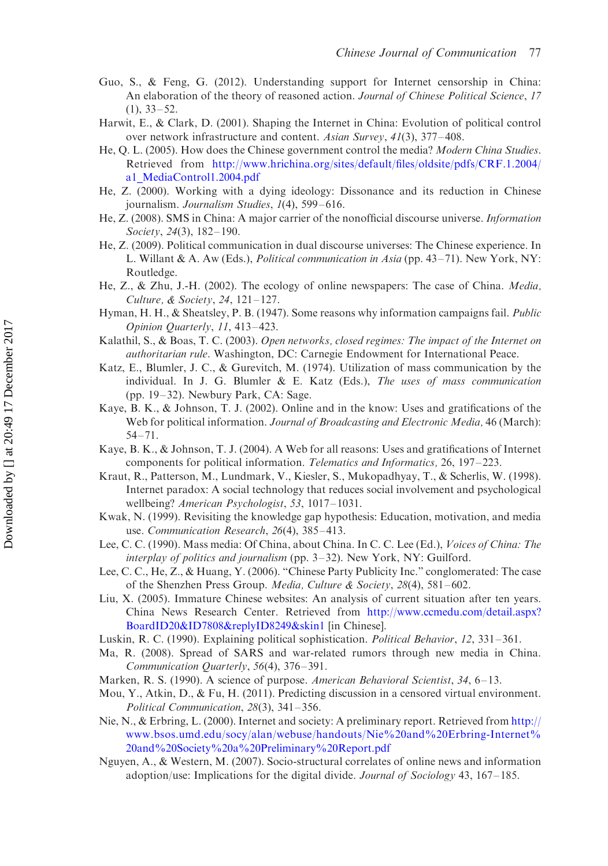- <span id="page-18-2"></span>Guo, S., & Feng, G. (2012). Understanding support for Internet censorship in China: An elaboration of the theory of reasoned action. Journal of Chinese Political Science, 17  $(1), 33 - 52.$
- <span id="page-18-8"></span>Harwit, E., & Clark, D. (2001). Shaping the Internet in China: Evolution of political control over network infrastructure and content. Asian Survey, 41(3), 377– 408.
- <span id="page-18-4"></span>He, Q. L. (2005). How does the Chinese government control the media? Modern China Studies. Retrieved from [http://www.hrichina.org/sites/default/files/oldsite/pdfs/CRF.1.2004/](http://www.hrichina.org/sites/default/files/oldsite/pdfs/CRF.1.2004/a1_MediaControl1.2004.pdf) [a1\\_MediaControl1.2004.pdf](http://www.hrichina.org/sites/default/files/oldsite/pdfs/CRF.1.2004/a1_MediaControl1.2004.pdf)
- <span id="page-18-7"></span>He, Z. (2000). Working with a dying ideology: Dissonance and its reduction in Chinese journalism. Journalism Studies, 1(4), 599-616.
- <span id="page-18-11"></span>He, Z. (2008). SMS in China: A major carrier of the nonofficial discourse universe. Information Society, 24(3), 182-190.
- <span id="page-18-12"></span>He, Z. (2009). Political communication in dual discourse universes: The Chinese experience. In L. Willant & A. Aw (Eds.), *Political communication in Asia* (pp. 43–71). New York, NY: Routledge.
- <span id="page-18-9"></span>He, Z., & Zhu, J.-H. (2002). The ecology of online newspapers: The case of China. Media, Culture, & Society, 24,  $121-127$ .
- <span id="page-18-16"></span>Hyman, H. H., & Sheatsley, P. B. (1947). Some reasons why information campaigns fail. Public Opinion Quarterly, 11, 413-423.
- <span id="page-18-0"></span>Kalathil, S., & Boas, T. C. (2003). Open networks, closed regimes: The impact of the Internet on authoritarian rule. Washington, DC: Carnegie Endowment for International Peace.
- <span id="page-18-14"></span>Katz, E., Blumler, J. C., & Gurevitch, M. (1974). Utilization of mass communication by the individual. In J. G. Blumler & E. Katz (Eds.), The uses of mass communication (pp.  $19-32$ ). Newbury Park, CA: Sage.
- Kaye, B. K., & Johnson, T. J. (2002). Online and in the know: Uses and gratifications of the Web for political information. Journal of Broadcasting and Electronic Media, 46 (March):  $54 - 71.$
- Kaye, B. K., & Johnson, T. J. (2004). A Web for all reasons: Uses and gratifications of Internet components for political information. Telematics and Informatics, 26, 197-223.
- <span id="page-18-18"></span>Kraut, R., Patterson, M., Lundmark, V., Kiesler, S., Mukopadhyay, T., & Scherlis, W. (1998). Internet paradox: A social technology that reduces social involvement and psychological wellbeing? American Psychologist, 53, 1017– 1031.
- <span id="page-18-15"></span>Kwak, N. (1999). Revisiting the knowledge gap hypothesis: Education, motivation, and media use. Communication Research, 26(4), 385–413.
- <span id="page-18-5"></span>Lee, C. C. (1990). Mass media: Of China, about China. In C. C. Lee (Ed.), Voices of China: The interplay of politics and journalism (pp. 3-32). New York, NY: Guilford.
- <span id="page-18-6"></span>Lee, C. C., He, Z., & Huang, Y. (2006). "Chinese Party Publicity Inc." conglomerated: The case of the Shenzhen Press Group. *Media, Culture & Society, 28(4), 581–602.*
- <span id="page-18-10"></span>Liu, X. (2005). Immature Chinese websites: An analysis of current situation after ten years. China News Research Center. Retrieved from [http://www.ccmedu.com/detail.aspx?](http://www.ccmedu.com/detail.aspx?BoardID=20&ID=7808&replyID=8249&skin=1) [BoardID20&ID7808&replyID8249&skin1](http://www.ccmedu.com/detail.aspx?BoardID=20&ID=7808&replyID=8249&skin=1) [in Chinese].
- <span id="page-18-17"></span>Luskin, R. C. (1990). Explaining political sophistication. Political Behavior, 12, 331–361.
- <span id="page-18-1"></span>Ma, R. (2008). Spread of SARS and war-related rumors through new media in China. Communication Quarterly, 56(4), 376– 391.
- <span id="page-18-13"></span><span id="page-18-3"></span>Marken, R. S. (1990). A science of purpose. American Behavioral Scientist, 34, 6–13.
- Mou, Y., Atkin, D., & Fu, H. (2011). Predicting discussion in a censored virtual environment. Political Communication, 28(3), 341– 356.
- <span id="page-18-19"></span>Nie, N., & Erbring, L. (2000). Internet and society: A preliminary report. Retrieved from [http://](http://www.bsos.umd.edu/socy/alan/webuse/handouts/Nie%20and%20Erbring-Internet%20and%20Society%20a%20Preliminary%20Report.pdf) [www.bsos.umd.edu/socy/alan/webuse/handouts/Nie%20and%20Erbring-Internet%](http://www.bsos.umd.edu/socy/alan/webuse/handouts/Nie%20and%20Erbring-Internet%20and%20Society%20a%20Preliminary%20Report.pdf) [20and%20Society%20a%20Preliminary%20Report.pdf](http://www.bsos.umd.edu/socy/alan/webuse/handouts/Nie%20and%20Erbring-Internet%20and%20Society%20a%20Preliminary%20Report.pdf)
- Nguyen, A., & Western, M. (2007). Socio-structural correlates of online news and information adoption/use: Implications for the digital divide. Journal of Sociology 43, 167– 185.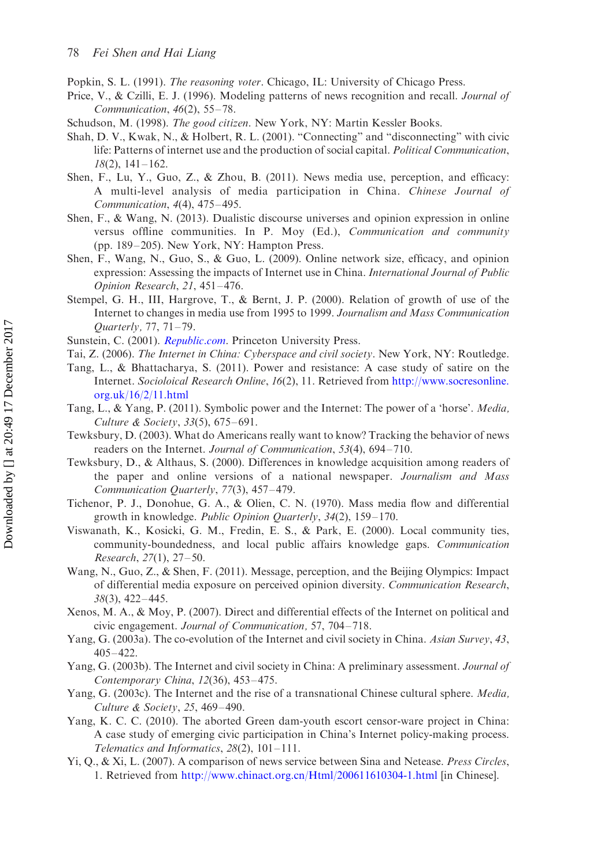<span id="page-19-11"></span>Popkin, S. L. (1991). The reasoning voter. Chicago, IL: University of Chicago Press.

- <span id="page-19-14"></span>Price, V., & Czilli, E. J. (1996). Modeling patterns of news recognition and recall. Journal of Communication,  $46(2)$ ,  $55-78$ .
- <span id="page-19-12"></span>Schudson, M. (1998). The good citizen. New York, NY: Martin Kessler Books.
- <span id="page-19-20"></span>Shah, D. V., Kwak, N., & Holbert, R. L. (2001). "Connecting" and "disconnecting" with civic life: Patterns of internet use and the production of social capital. Political Communication,  $18(2)$ ,  $141-162$ .
- <span id="page-19-9"></span>Shen, F., Lu, Y., Guo, Z., & Zhou, B. (2011). News media use, perception, and efficacy: A multi-level analysis of media participation in China. Chinese Journal of Communication, 4(4), 475– 495.
- <span id="page-19-19"></span>Shen, F., & Wang, N. (2013). Dualistic discourse universes and opinion expression in online versus offline communities. In P. Moy (Ed.), Communication and community (pp. 189–205). New York, NY: Hampton Press.
- <span id="page-19-4"></span>Shen, F., Wang, N., Guo, S., & Guo, L. (2009). Online network size, efficacy, and opinion expression: Assessing the impacts of Internet use in China. International Journal of Public Opinion Research, 21, 451–476.
- Stempel, G. H., III, Hargrove, T., & Bernt, J. P. (2000). Relation of growth of use of the Internet to changes in media use from 1995 to 1999. Journalism and Mass Communication Quarterly, 77, 71 – 79.
- <span id="page-19-16"></span>Sunstein, C. (2001). *[Republic.com](http://Republic.com)*. Princeton University Press.
- <span id="page-19-0"></span>Tai, Z. (2006). The Internet in China: Cyberspace and civil society. New York, NY: Routledge.
- <span id="page-19-6"></span>Tang, L., & Bhattacharya, S. (2011). Power and resistance: A case study of satire on the Internet. Socioloical Research Online, 16(2), 11. Retrieved from [http://www.socresonline.](http://www.socresonline.org.uk/16/2/11.html) [org.uk/16/2/11.html](http://www.socresonline.org.uk/16/2/11.html)
- <span id="page-19-8"></span>Tang, L., & Yang, P. (2011). Symbolic power and the Internet: The power of a 'horse'. Media, Culture & Society, 33(5), 675-691.
- <span id="page-19-10"></span>Tewksbury, D. (2003). What do Americans really want to know? Tracking the behavior of news readers on the Internet. Journal of Communication, 53(4), 694-710.
- <span id="page-19-15"></span>Tewksbury, D., & Althaus, S. (2000). Differences in knowledge acquisition among readers of the paper and online versions of a national newspaper. Journalism and Mass Communication Quarterly, 77(3), 457-479.
- <span id="page-19-18"></span>Tichenor, P. J., Donohue, G. A., & Olien, C. N. (1970). Mass media flow and differential growth in knowledge. Public Opinion Quarterly, 34(2), 159-170.
- <span id="page-19-17"></span>Viswanath, K., Kosicki, G. M., Fredin, E. S., & Park, E. (2000). Local community ties, community-boundedness, and local public affairs knowledge gaps. Communication Research, 27(1), 27-50.
- <span id="page-19-5"></span>Wang, N., Guo, Z., & Shen, F. (2011). Message, perception, and the Beijing Olympics: Impact of differential media exposure on perceived opinion diversity. Communication Research,  $38(3)$ ,  $422 - 445$ .
- Xenos, M. A., & Moy, P. (2007). Direct and differential effects of the Internet on political and civic engagement. Journal of Communication, 57, 704– 718.
- <span id="page-19-1"></span>Yang, G. (2003a). The co-evolution of the Internet and civil society in China. Asian Survey, 43, 405– 422.
- <span id="page-19-2"></span>Yang, G. (2003b). The Internet and civil society in China: A preliminary assessment. Journal of Contemporary China, 12(36), 453-475.
- <span id="page-19-3"></span>Yang, G. (2003c). The Internet and the rise of a transnational Chinese cultural sphere. Media, Culture & Society, 25, 469–490.
- <span id="page-19-7"></span>Yang, K. C. C. (2010). The aborted Green dam-youth escort censor-ware project in China: A case study of emerging civic participation in China's Internet policy-making process. Telematics and Informatics, 28(2), 101-111.
- <span id="page-19-13"></span>Yi, Q., & Xi, L. (2007). A comparison of news service between Sina and Netease. Press Circles, 1. Retrieved from <http://www.chinact.org.cn/Html/200611610304-1.html> [in Chinese].